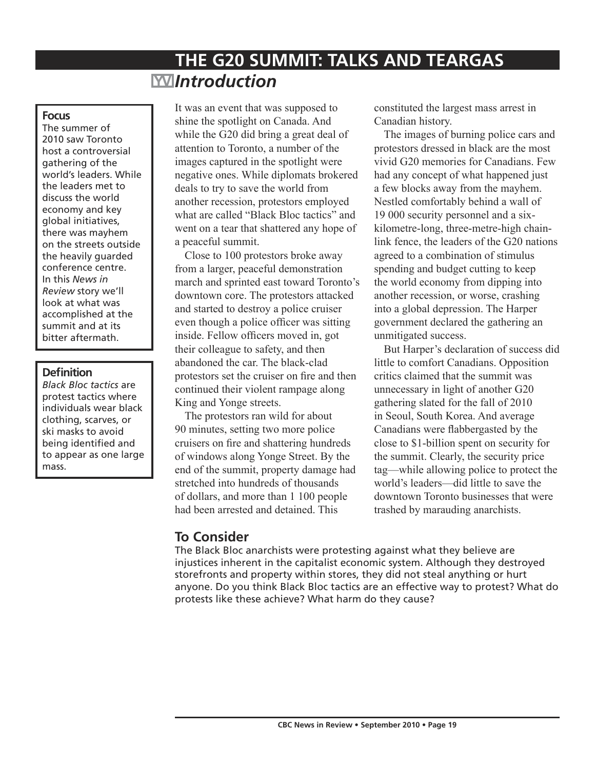# **THE G20 SUMMIT: TALKS AND TEARGAS** *Introduction*

#### **Focus**

The summer of 2010 saw Toronto host a controversial gathering of the world's leaders. While the leaders met to discuss the world economy and key global initiatives, there was mayhem on the streets outside the heavily guarded conference centre. In this *News in Review* story we'll look at what was accomplished at the summit and at its bitter aftermath.

#### **Definition**

*Black Bloc tactics* are protest tactics where individuals wear black clothing, scarves, or ski masks to avoid being identified and to appear as one large mass.

It was an event that was supposed to shine the spotlight on Canada. And while the G20 did bring a great deal of attention to Toronto, a number of the images captured in the spotlight were negative ones. While diplomats brokered deals to try to save the world from another recession, protestors employed what are called "Black Bloc tactics" and went on a tear that shattered any hope of a peaceful summit.

Close to 100 protestors broke away from a larger, peaceful demonstration march and sprinted east toward Toronto's downtown core. The protestors attacked and started to destroy a police cruiser even though a police officer was sitting inside. Fellow officers moved in, got their colleague to safety, and then abandoned the car. The black-clad protestors set the cruiser on fire and then continued their violent rampage along King and Yonge streets.

The protestors ran wild for about 90 minutes, setting two more police cruisers on fire and shattering hundreds of windows along Yonge Street. By the end of the summit, property damage had stretched into hundreds of thousands of dollars, and more than 1 100 people had been arrested and detained. This

constituted the largest mass arrest in Canadian history.

The images of burning police cars and protestors dressed in black are the most vivid G20 memories for Canadians. Few had any concept of what happened just a few blocks away from the mayhem. Nestled comfortably behind a wall of 19 000 security personnel and a sixkilometre-long, three-metre-high chainlink fence, the leaders of the G20 nations agreed to a combination of stimulus spending and budget cutting to keep the world economy from dipping into another recession, or worse, crashing into a global depression. The Harper government declared the gathering an unmitigated success.

But Harper's declaration of success did little to comfort Canadians. Opposition critics claimed that the summit was unnecessary in light of another G20 gathering slated for the fall of 2010 in Seoul, South Korea. And average Canadians were flabbergasted by the close to \$1-billion spent on security for the summit. Clearly, the security price tag—while allowing police to protect the world's leaders—did little to save the downtown Toronto businesses that were trashed by marauding anarchists.

# **To Consider**

The Black Bloc anarchists were protesting against what they believe are injustices inherent in the capitalist economic system. Although they destroyed storefronts and property within stores, they did not steal anything or hurt anyone. Do you think Black Bloc tactics are an effective way to protest? What do protests like these achieve? What harm do they cause?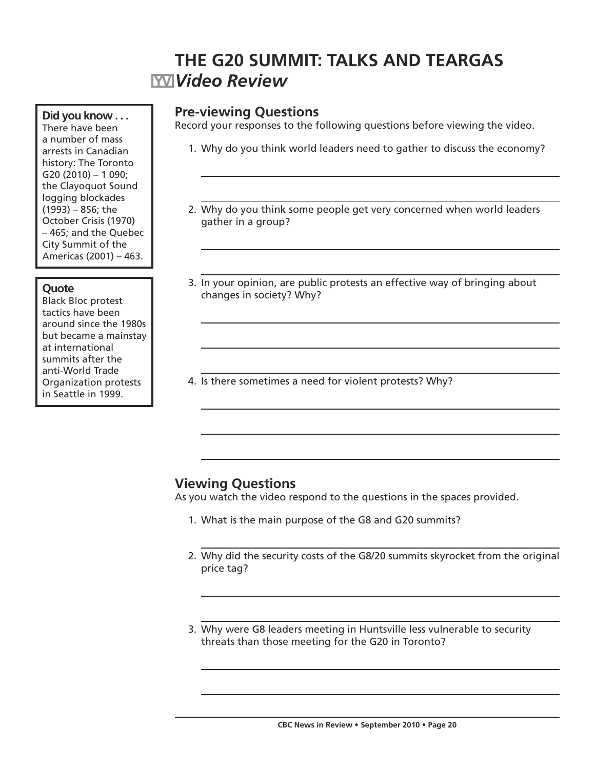# **THE G20 SUMMIT: TALKS AND TEARGAS** *Video Review*

### **Pre-viewing Questions**

Record your responses to the following questions before viewing the video.

- 1. Why do you think world leaders need to gather to discuss the economy?
- 2. Why do you think some people get very concerned when world leaders gather in a group?
- 3. In your opinion, are public protests an effective way of bringing about changes in society? Why?
- 4. Is there sometimes a need for violent protests? Why?

# **Viewing Questions**

As you watch the video respond to the questions in the spaces provided.

- 1. What is the main purpose of the G8 and G20 summits?
- 2. Why did the security costs of the G8/20 summits skyrocket from the original price tag?
- 3. Why were G8 leaders meeting in Huntsville less vulnerable to security threats than those meeting for the G20 in Toronto?

**Did you know . . .** There have been a number of mass arrests in Canadian history: The Toronto G20 (2010) – 1 090; the Clayoquot Sound logging blockades (1993) – 856; the October Crisis (1970) – 465; and the Quebec City Summit of the

Americas (2001) – 463.

#### **Quote**

Black Bloc protest tactics have been around since the 1980s but became a mainstay at international summits after the anti-World Trade Organization protests in Seattle in 1999.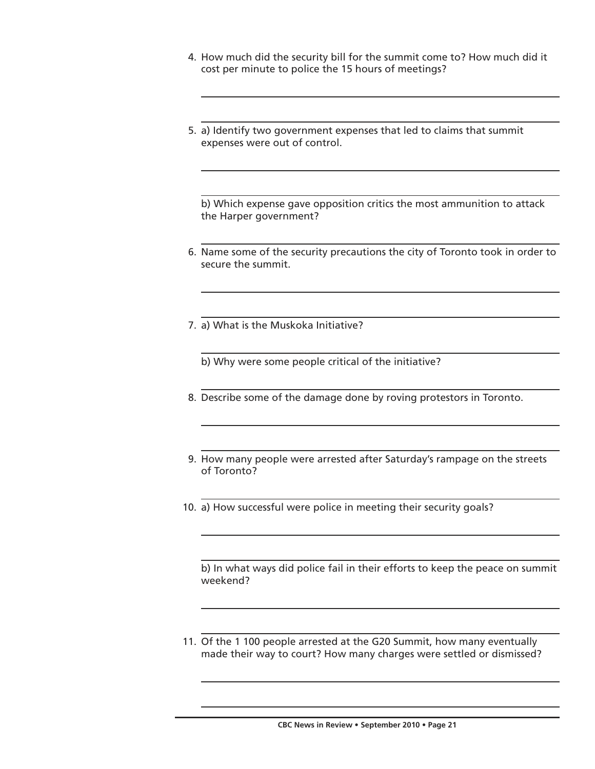- 4. How much did the security bill for the summit come to? How much did it cost per minute to police the 15 hours of meetings?
- 5. a) Identify two government expenses that led to claims that summit expenses were out of control.

 b) Which expense gave opposition critics the most ammunition to attack the Harper government?

- 6. Name some of the security precautions the city of Toronto took in order to secure the summit.
- 7. a) What is the Muskoka Initiative?

b) Why were some people critical of the initiative?

- 8. Describe some of the damage done by roving protestors in Toronto.
- 9. How many people were arrested after Saturday's rampage on the streets of Toronto?
- 10. a) How successful were police in meeting their security goals?

 b) In what ways did police fail in their efforts to keep the peace on summit weekend?

 11. Of the 1 100 people arrested at the G20 Summit, how many eventually made their way to court? How many charges were settled or dismissed?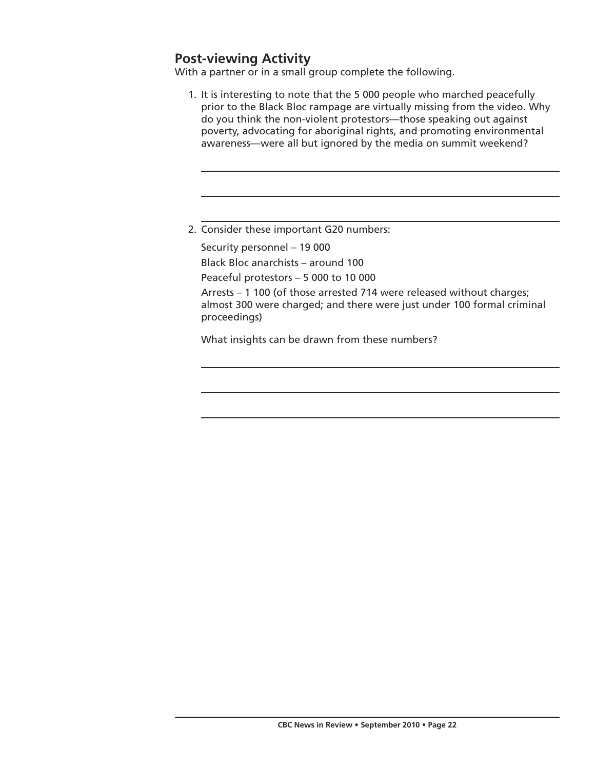# **Post-viewing Activity**

With a partner or in a small group complete the following.

- 1. It is interesting to note that the 5 000 people who marched peacefully prior to the Black Bloc rampage are virtually missing from the video. Why do you think the non-violent protestors—those speaking out against poverty, advocating for aboriginal rights, and promoting environmental awareness—were all but ignored by the media on summit weekend?
- 2. Consider these important G20 numbers:

Security personnel – 19 000

Black Bloc anarchists – around 100

Peaceful protestors – 5 000 to 10 000

 Arrests – 1 100 (of those arrested 714 were released without charges; almost 300 were charged; and there were just under 100 formal criminal proceedings)

What insights can be drawn from these numbers?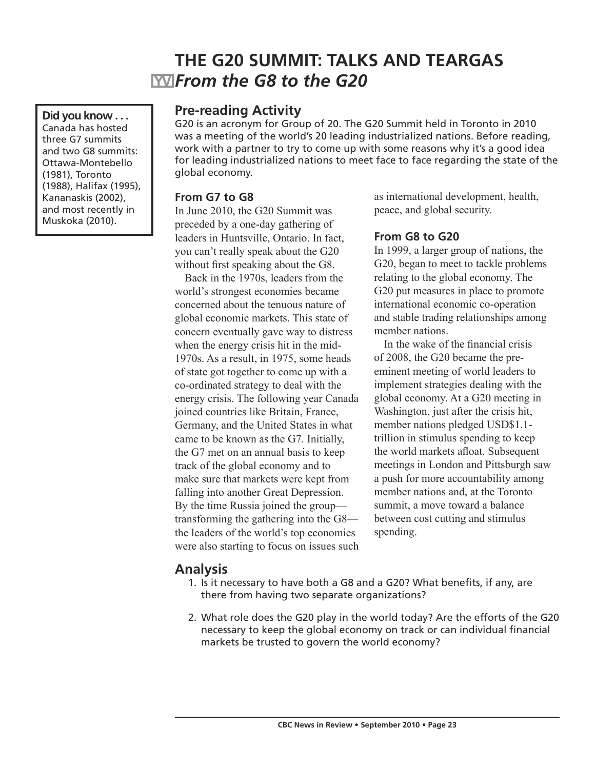# **THE G20 SUMMIT: TALKS AND TEARGAS** *From the G8 to the G20*

**Did you know . . .** Canada has hosted three G7 summits and two G8 summits: Ottawa-Montebello (1981), Toronto (1988), Halifax (1995), Kananaskis (2002), and most recently in Muskoka (2010).

### **Pre-reading Activity**

G20 is an acronym for Group of 20. The G20 Summit held in Toronto in 2010 was a meeting of the world's 20 leading industrialized nations. Before reading, work with a partner to try to come up with some reasons why it's a good idea for leading industrialized nations to meet face to face regarding the state of the global economy.

#### **From G7 to G8**

In June 2010, the G20 Summit was preceded by a one-day gathering of leaders in Huntsville, Ontario. In fact, you can't really speak about the G20 without first speaking about the G8.

Back in the 1970s, leaders from the world's strongest economies became concerned about the tenuous nature of global economic markets. This state of concern eventually gave way to distress when the energy crisis hit in the mid-1970s. As a result, in 1975, some heads of state got together to come up with a co-ordinated strategy to deal with the energy crisis. The following year Canada joined countries like Britain, France, Germany, and the United States in what came to be known as the G7. Initially, the G7 met on an annual basis to keep track of the global economy and to make sure that markets were kept from falling into another Great Depression. By the time Russia joined the group transforming the gathering into the G8 the leaders of the world's top economies were also starting to focus on issues such as international development, health, peace, and global security.

#### **From G8 to G20**

In 1999, a larger group of nations, the G20, began to meet to tackle problems relating to the global economy. The G20 put measures in place to promote international economic co-operation and stable trading relationships among member nations.

In the wake of the financial crisis of 2008, the G20 became the preeminent meeting of world leaders to implement strategies dealing with the global economy. At a G20 meeting in Washington, just after the crisis hit, member nations pledged USD\$1.1 trillion in stimulus spending to keep the world markets afloat. Subsequent meetings in London and Pittsburgh saw a push for more accountability among member nations and, at the Toronto summit, a move toward a balance between cost cutting and stimulus spending.

### **Analysis**

- 1. Is it necessary to have both a G8 and a G20? What benefits, if any, are there from having two separate organizations?
- 2. What role does the G20 play in the world today? Are the efforts of the G20 necessary to keep the global economy on track or can individual financial markets be trusted to govern the world economy?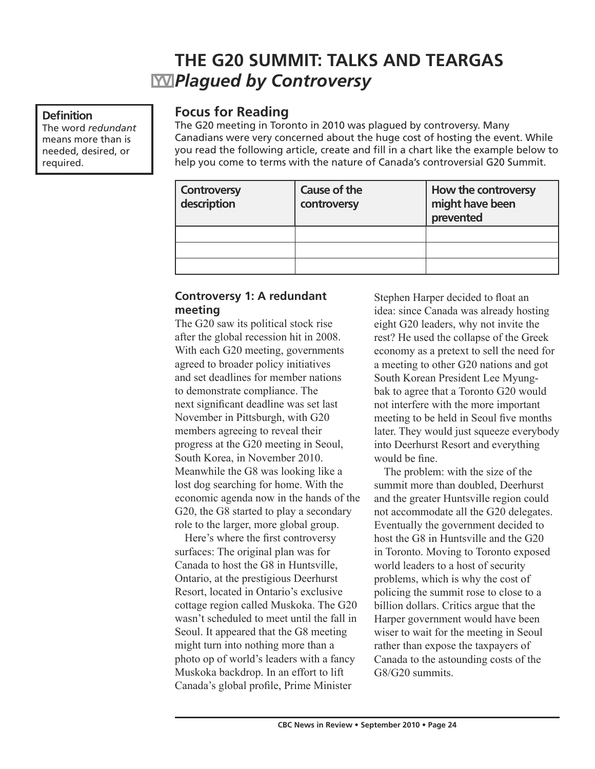# **THE G20 SUMMIT: TALKS AND TEARGAS** *Plagued by Controversy*

#### **Definition**

The word *redundant* means more than is needed, desired, or required.

### **Focus for Reading**

The G20 meeting in Toronto in 2010 was plagued by controversy. Many Canadians were very concerned about the huge cost of hosting the event. While you read the following article, create and fill in a chart like the example below to help you come to terms with the nature of Canada's controversial G20 Summit.

| <b>Controversy</b><br>description | Cause of the<br>controversy | How the controversy<br>might have been<br>prevented |
|-----------------------------------|-----------------------------|-----------------------------------------------------|
|                                   |                             |                                                     |
|                                   |                             |                                                     |
|                                   |                             |                                                     |

#### **Controversy 1: A redundant meeting**

The G20 saw its political stock rise after the global recession hit in 2008. With each G20 meeting, governments agreed to broader policy initiatives and set deadlines for member nations to demonstrate compliance. The next significant deadline was set last November in Pittsburgh, with G20 members agreeing to reveal their progress at the G20 meeting in Seoul, South Korea, in November 2010. Meanwhile the G8 was looking like a lost dog searching for home. With the economic agenda now in the hands of the G20, the G8 started to play a secondary role to the larger, more global group.

Here's where the first controversy surfaces: The original plan was for Canada to host the G8 in Huntsville, Ontario, at the prestigious Deerhurst Resort, located in Ontario's exclusive cottage region called Muskoka. The G20 wasn't scheduled to meet until the fall in Seoul. It appeared that the G8 meeting might turn into nothing more than a photo op of world's leaders with a fancy Muskoka backdrop. In an effort to lift Canada's global profile, Prime Minister

Stephen Harper decided to float an idea: since Canada was already hosting eight G20 leaders, why not invite the rest? He used the collapse of the Greek economy as a pretext to sell the need for a meeting to other G20 nations and got South Korean President Lee Myungbak to agree that a Toronto G20 would not interfere with the more important meeting to be held in Seoul five months later. They would just squeeze everybody into Deerhurst Resort and everything would be fine.

The problem: with the size of the summit more than doubled, Deerhurst and the greater Huntsville region could not accommodate all the G20 delegates. Eventually the government decided to host the G8 in Huntsville and the G20 in Toronto. Moving to Toronto exposed world leaders to a host of security problems, which is why the cost of policing the summit rose to close to a billion dollars. Critics argue that the Harper government would have been wiser to wait for the meeting in Seoul rather than expose the taxpayers of Canada to the astounding costs of the G8/G20 summits.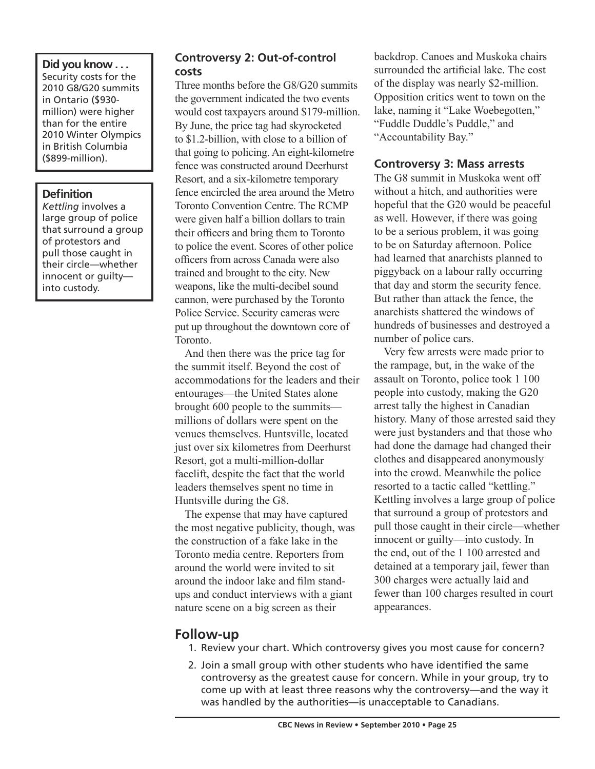### **Did you know . . .**

Security costs for the 2010 G8/G20 summits in Ontario (\$930 million) were higher than for the entire 2010 Winter Olympics in British Columbia (\$899-million).

#### **Definition**

*Kettling* involves a large group of police that surround a group of protestors and pull those caught in their circle—whether innocent or guilty into custody.

### **Controversy 2: Out-of-control costs**

Three months before the G8/G20 summits the government indicated the two events would cost taxpayers around \$179-million. By June, the price tag had skyrocketed to \$1.2-billion, with close to a billion of that going to policing. An eight-kilometre fence was constructed around Deerhurst Resort, and a six-kilometre temporary fence encircled the area around the Metro Toronto Convention Centre. The RCMP were given half a billion dollars to train their officers and bring them to Toronto to police the event. Scores of other police officers from across Canada were also trained and brought to the city. New weapons, like the multi-decibel sound cannon, were purchased by the Toronto Police Service. Security cameras were put up throughout the downtown core of Toronto.

And then there was the price tag for the summit itself. Beyond the cost of accommodations for the leaders and their entourages—the United States alone brought 600 people to the summits millions of dollars were spent on the venues themselves. Huntsville, located just over six kilometres from Deerhurst Resort, got a multi-million-dollar facelift, despite the fact that the world leaders themselves spent no time in Huntsville during the G8.

The expense that may have captured the most negative publicity, though, was the construction of a fake lake in the Toronto media centre. Reporters from around the world were invited to sit around the indoor lake and film standups and conduct interviews with a giant nature scene on a big screen as their

backdrop. Canoes and Muskoka chairs surrounded the artificial lake. The cost of the display was nearly \$2-million. Opposition critics went to town on the lake, naming it "Lake Woebegotten," "Fuddle Duddle's Puddle," and "Accountability Bay."

#### **Controversy 3: Mass arrests**

The G8 summit in Muskoka went off without a hitch, and authorities were hopeful that the G20 would be peaceful as well. However, if there was going to be a serious problem, it was going to be on Saturday afternoon. Police had learned that anarchists planned to piggyback on a labour rally occurring that day and storm the security fence. But rather than attack the fence, the anarchists shattered the windows of hundreds of businesses and destroyed a number of police cars.

Very few arrests were made prior to the rampage, but, in the wake of the assault on Toronto, police took 1 100 people into custody, making the G20 arrest tally the highest in Canadian history. Many of those arrested said they were just bystanders and that those who had done the damage had changed their clothes and disappeared anonymously into the crowd. Meanwhile the police resorted to a tactic called "kettling." Kettling involves a large group of police that surround a group of protestors and pull those caught in their circle—whether innocent or guilty—into custody. In the end, out of the 1 100 arrested and detained at a temporary jail, fewer than 300 charges were actually laid and fewer than 100 charges resulted in court appearances.

# **Follow-up**

- 1. Review your chart. Which controversy gives you most cause for concern?
- 2. Join a small group with other students who have identified the same controversy as the greatest cause for concern. While in your group, try to come up with at least three reasons why the controversy—and the way it was handled by the authorities—is unacceptable to Canadians.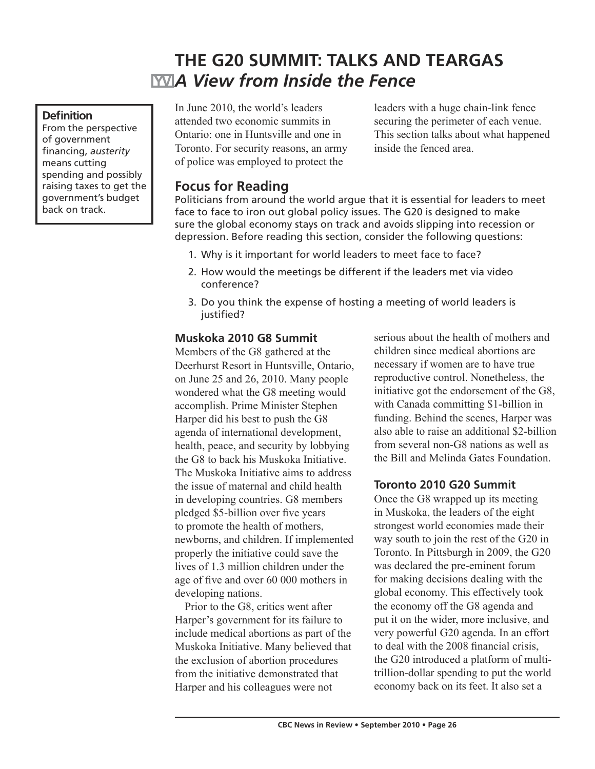# **THE G20 SUMMIT: TALKS AND TEARGAS A** View from Inside the Fence

#### **Definition**

From the perspective of government financing, *austerity* means cutting spending and possibly raising taxes to get the government's budget back on track.

In June 2010, the world's leaders attended two economic summits in Ontario: one in Huntsville and one in Toronto. For security reasons, an army of police was employed to protect the

leaders with a huge chain-link fence securing the perimeter of each venue. This section talks about what happened inside the fenced area.

# **Focus for Reading**

Politicians from around the world argue that it is essential for leaders to meet face to face to iron out global policy issues. The G20 is designed to make sure the global economy stays on track and avoids slipping into recession or depression. Before reading this section, consider the following questions:

- 1. Why is it important for world leaders to meet face to face?
- 2. How would the meetings be different if the leaders met via video conference?
- 3. Do you think the expense of hosting a meeting of world leaders is justified?

#### **Muskoka 2010 G8 Summit**

Members of the G8 gathered at the Deerhurst Resort in Huntsville, Ontario, on June 25 and 26, 2010. Many people wondered what the G8 meeting would accomplish. Prime Minister Stephen Harper did his best to push the G8 agenda of international development, health, peace, and security by lobbying the G8 to back his Muskoka Initiative. The Muskoka Initiative aims to address the issue of maternal and child health in developing countries. G8 members pledged \$5-billion over five years to promote the health of mothers, newborns, and children. If implemented properly the initiative could save the lives of 1.3 million children under the age of five and over 60 000 mothers in developing nations.

Prior to the G8, critics went after Harper's government for its failure to include medical abortions as part of the Muskoka Initiative. Many believed that the exclusion of abortion procedures from the initiative demonstrated that Harper and his colleagues were not

serious about the health of mothers and children since medical abortions are necessary if women are to have true reproductive control. Nonetheless, the initiative got the endorsement of the G8, with Canada committing \$1-billion in funding. Behind the scenes, Harper was also able to raise an additional \$2-billion from several non-G8 nations as well as the Bill and Melinda Gates Foundation.

#### **Toronto 2010 G20 Summit**

Once the G8 wrapped up its meeting in Muskoka, the leaders of the eight strongest world economies made their way south to join the rest of the G20 in Toronto. In Pittsburgh in 2009, the G20 was declared the pre-eminent forum for making decisions dealing with the global economy. This effectively took the economy off the G8 agenda and put it on the wider, more inclusive, and very powerful G20 agenda. In an effort to deal with the 2008 financial crisis, the G20 introduced a platform of multitrillion-dollar spending to put the world economy back on its feet. It also set a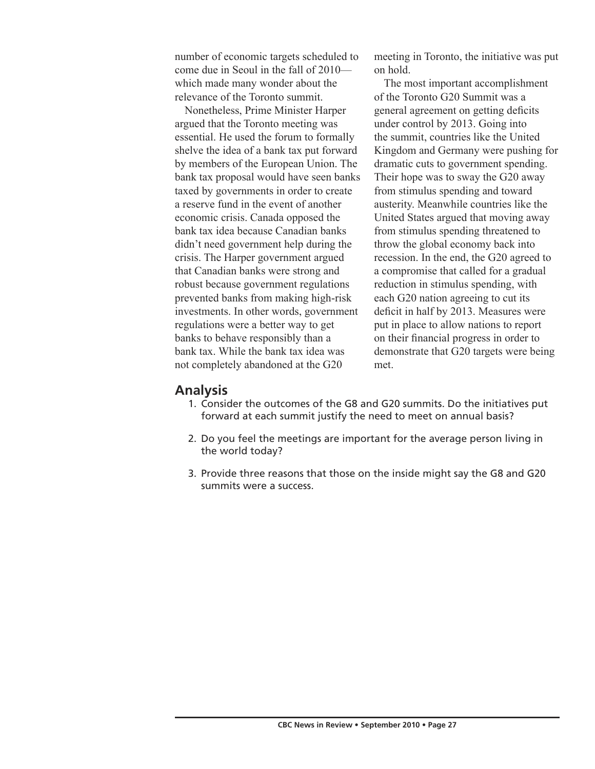number of economic targets scheduled to come due in Seoul in the fall of 2010 which made many wonder about the relevance of the Toronto summit.

Nonetheless, Prime Minister Harper argued that the Toronto meeting was essential. He used the forum to formally shelve the idea of a bank tax put forward by members of the European Union. The bank tax proposal would have seen banks taxed by governments in order to create a reserve fund in the event of another economic crisis. Canada opposed the bank tax idea because Canadian banks didn't need government help during the crisis. The Harper government argued that Canadian banks were strong and robust because government regulations prevented banks from making high-risk investments. In other words, government regulations were a better way to get banks to behave responsibly than a bank tax. While the bank tax idea was not completely abandoned at the G20

meeting in Toronto, the initiative was put on hold.

The most important accomplishment of the Toronto G20 Summit was a general agreement on getting deficits under control by 2013. Going into the summit, countries like the United Kingdom and Germany were pushing for dramatic cuts to government spending. Their hope was to sway the G20 away from stimulus spending and toward austerity. Meanwhile countries like the United States argued that moving away from stimulus spending threatened to throw the global economy back into recession. In the end, the G20 agreed to a compromise that called for a gradual reduction in stimulus spending, with each G20 nation agreeing to cut its deficit in half by 2013. Measures were put in place to allow nations to report on their financial progress in order to demonstrate that G20 targets were being met.

#### **Analysis**

- 1. Consider the outcomes of the G8 and G20 summits. Do the initiatives put forward at each summit justify the need to meet on annual basis?
- 2. Do you feel the meetings are important for the average person living in the world today?
- 3. Provide three reasons that those on the inside might say the G8 and G20 summits were a success.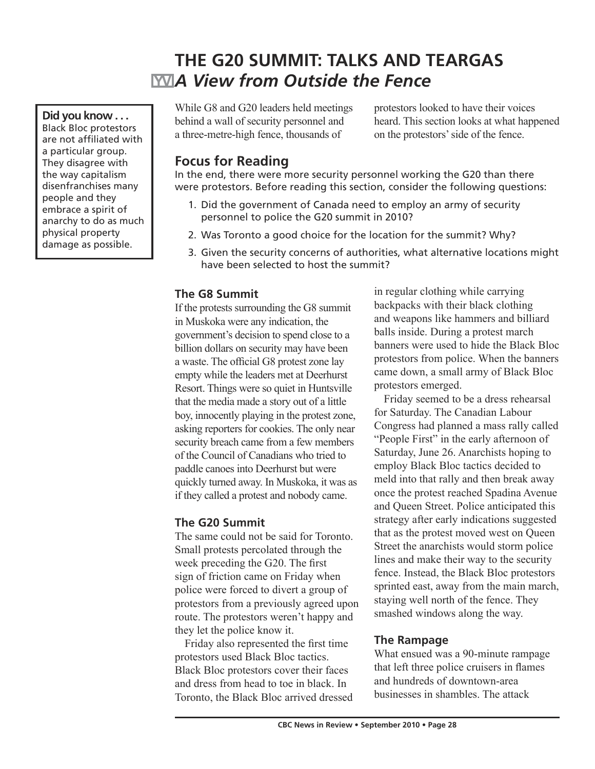# **THE G20 SUMMIT: TALKS AND TEARGAS** *A View from Outside the Fence*

While G8 and G20 leaders held meetings behind a wall of security personnel and a three-metre-high fence, thousands of

protestors looked to have their voices heard. This section looks at what happened on the protestors' side of the fence.

## **Focus for Reading**

**Did you know . . .** Black Bloc protestors are not affiliated with a particular group. They disagree with the way capitalism disenfranchises many people and they embrace a spirit of anarchy to do as much physical property damage as possible.

In the end, there were more security personnel working the G20 than there were protestors. Before reading this section, consider the following questions:

- 1. Did the government of Canada need to employ an army of security personnel to police the G20 summit in 2010?
- 2. Was Toronto a good choice for the location for the summit? Why?
- 3. Given the security concerns of authorities, what alternative locations might have been selected to host the summit?

#### **The G8 Summit**

If the protests surrounding the G8 summit in Muskoka were any indication, the government's decision to spend close to a billion dollars on security may have been a waste. The official G8 protest zone lay empty while the leaders met at Deerhurst Resort. Things were so quiet in Huntsville that the media made a story out of a little boy, innocently playing in the protest zone, asking reporters for cookies. The only near security breach came from a few members of the Council of Canadians who tried to paddle canoes into Deerhurst but were quickly turned away. In Muskoka, it was as if they called a protest and nobody came.

### **The G20 Summit**

The same could not be said for Toronto. Small protests percolated through the week preceding the G20. The first sign of friction came on Friday when police were forced to divert a group of protestors from a previously agreed upon route. The protestors weren't happy and they let the police know it.

Friday also represented the first time protestors used Black Bloc tactics. Black Bloc protestors cover their faces and dress from head to toe in black. In Toronto, the Black Bloc arrived dressed in regular clothing while carrying backpacks with their black clothing and weapons like hammers and billiard balls inside. During a protest march banners were used to hide the Black Bloc protestors from police. When the banners came down, a small army of Black Bloc protestors emerged.

Friday seemed to be a dress rehearsal for Saturday. The Canadian Labour Congress had planned a mass rally called "People First" in the early afternoon of Saturday, June 26. Anarchists hoping to employ Black Bloc tactics decided to meld into that rally and then break away once the protest reached Spadina Avenue and Queen Street. Police anticipated this strategy after early indications suggested that as the protest moved west on Queen Street the anarchists would storm police lines and make their way to the security fence. Instead, the Black Bloc protestors sprinted east, away from the main march, staying well north of the fence. They smashed windows along the way.

### **The Rampage**

What ensued was a 90-minute rampage that left three police cruisers in flames and hundreds of downtown-area businesses in shambles. The attack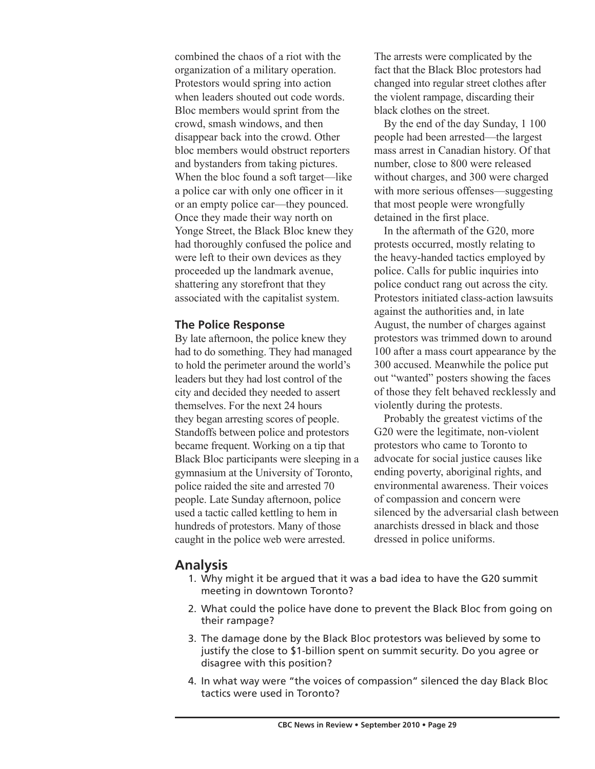combined the chaos of a riot with the organization of a military operation. Protestors would spring into action when leaders shouted out code words. Bloc members would sprint from the crowd, smash windows, and then disappear back into the crowd. Other bloc members would obstruct reporters and bystanders from taking pictures. When the bloc found a soft target—like a police car with only one officer in it or an empty police car—they pounced. Once they made their way north on Yonge Street, the Black Bloc knew they had thoroughly confused the police and were left to their own devices as they proceeded up the landmark avenue, shattering any storefront that they associated with the capitalist system.

#### **The Police Response**

By late afternoon, the police knew they had to do something. They had managed to hold the perimeter around the world's leaders but they had lost control of the city and decided they needed to assert themselves. For the next 24 hours they began arresting scores of people. Standoffs between police and protestors became frequent. Working on a tip that Black Bloc participants were sleeping in a gymnasium at the University of Toronto, police raided the site and arrested 70 people. Late Sunday afternoon, police used a tactic called kettling to hem in hundreds of protestors. Many of those caught in the police web were arrested.

The arrests were complicated by the fact that the Black Bloc protestors had changed into regular street clothes after the violent rampage, discarding their black clothes on the street.

By the end of the day Sunday, 1 100 people had been arrested—the largest mass arrest in Canadian history. Of that number, close to 800 were released without charges, and 300 were charged with more serious offenses—suggesting that most people were wrongfully detained in the first place.

In the aftermath of the G20, more protests occurred, mostly relating to the heavy-handed tactics employed by police. Calls for public inquiries into police conduct rang out across the city. Protestors initiated class-action lawsuits against the authorities and, in late August, the number of charges against protestors was trimmed down to around 100 after a mass court appearance by the 300 accused. Meanwhile the police put out "wanted" posters showing the faces of those they felt behaved recklessly and violently during the protests.

Probably the greatest victims of the G20 were the legitimate, non-violent protestors who came to Toronto to advocate for social justice causes like ending poverty, aboriginal rights, and environmental awareness. Their voices of compassion and concern were silenced by the adversarial clash between anarchists dressed in black and those dressed in police uniforms.

### **Analysis**

- 1. Why might it be argued that it was a bad idea to have the G20 summit meeting in downtown Toronto?
- 2. What could the police have done to prevent the Black Bloc from going on their rampage?
- 3. The damage done by the Black Bloc protestors was believed by some to justify the close to \$1-billion spent on summit security. Do you agree or disagree with this position?
- 4. In what way were "the voices of compassion" silenced the day Black Bloc tactics were used in Toronto?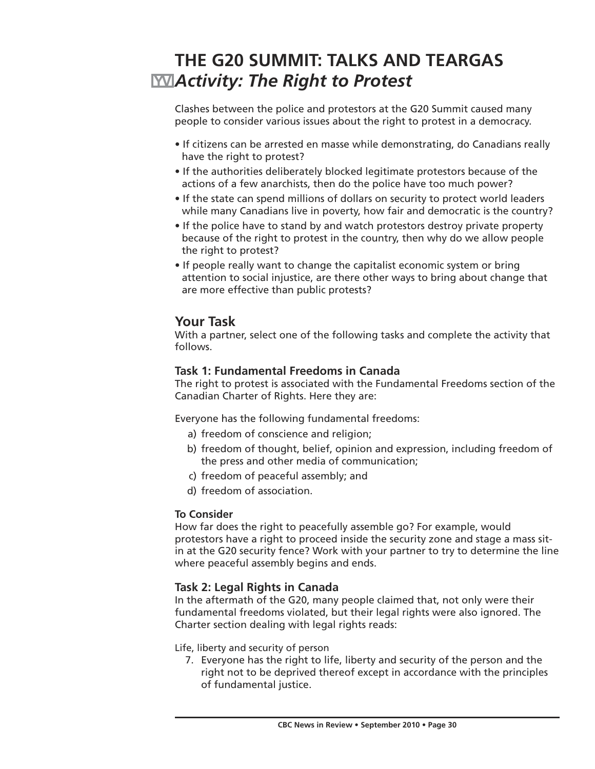# **THE G20 SUMMIT: TALKS AND TEARGAS** *Activity: The Right to Protest*

Clashes between the police and protestors at the G20 Summit caused many people to consider various issues about the right to protest in a democracy.

- If citizens can be arrested en masse while demonstrating, do Canadians really have the right to protest?
- If the authorities deliberately blocked legitimate protestors because of the actions of a few anarchists, then do the police have too much power?
- If the state can spend millions of dollars on security to protect world leaders while many Canadians live in poverty, how fair and democratic is the country?
- If the police have to stand by and watch protestors destroy private property because of the right to protest in the country, then why do we allow people the right to protest?
- If people really want to change the capitalist economic system or bring attention to social injustice, are there other ways to bring about change that are more effective than public protests?

### **Your Task**

With a partner, select one of the following tasks and complete the activity that follows.

#### **Task 1: Fundamental Freedoms in Canada**

The right to protest is associated with the Fundamental Freedoms section of the Canadian Charter of Rights. Here they are:

Everyone has the following fundamental freedoms:

- a) freedom of conscience and religion;
- b) freedom of thought, belief, opinion and expression, including freedom of the press and other media of communication;
- c) freedom of peaceful assembly; and
- d) freedom of association.

#### **To Consider**

How far does the right to peacefully assemble go? For example, would protestors have a right to proceed inside the security zone and stage a mass sitin at the G20 security fence? Work with your partner to try to determine the line where peaceful assembly begins and ends.

#### **Task 2: Legal Rights in Canada**

In the aftermath of the G20, many people claimed that, not only were their fundamental freedoms violated, but their legal rights were also ignored. The Charter section dealing with legal rights reads:

Life, liberty and security of person

 7. Everyone has the right to life, liberty and security of the person and the right not to be deprived thereof except in accordance with the principles of fundamental justice.